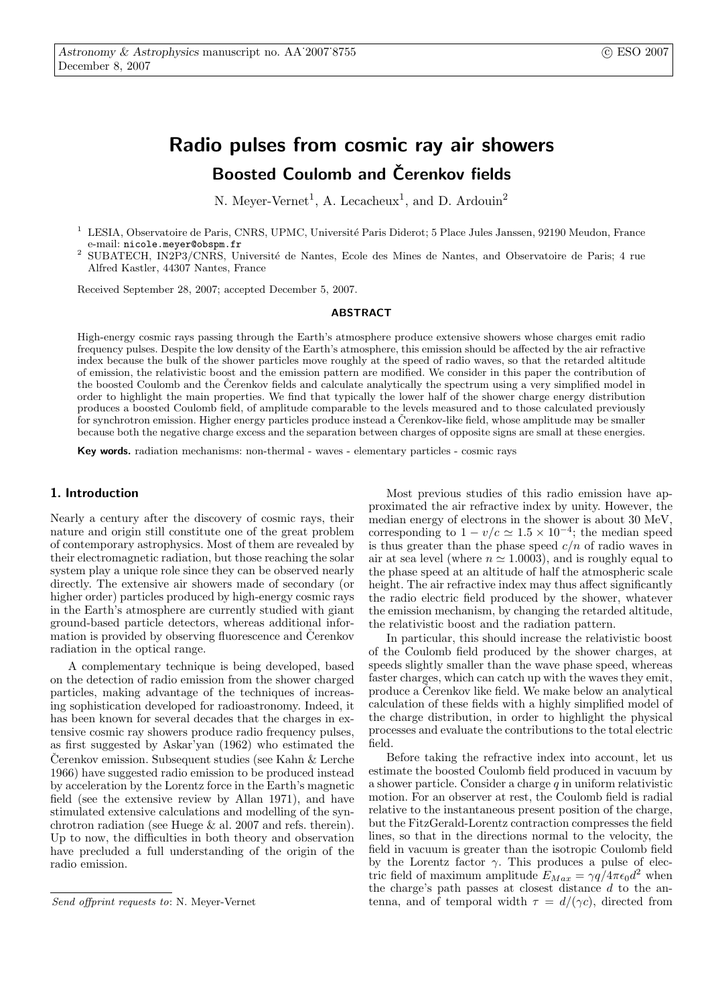# Radio pulses from cosmic ray air showers Boosted Coulomb and Čerenkov fields

N. Meyer-Vernet<sup>1</sup>, A. Lecacheux<sup>1</sup>, and D. Ardouin<sup>2</sup>

- <sup>1</sup> LESIA, Observatoire de Paris, CNRS, UPMC, Université Paris Diderot; 5 Place Jules Janssen, 92190 Meudon, France e-mail: nicole.meyer@obspm.fr
- SUBATECH, IN2P3/CNRS, Université de Nantes, Ecole des Mines de Nantes, and Observatoire de Paris; 4 rue Alfred Kastler, 44307 Nantes, France

Received September 28, 2007; accepted December 5, 2007.

#### ABSTRACT

High-energy cosmic rays passing through the Earth's atmosphere produce extensive showers whose charges emit radio frequency pulses. Despite the low density of the Earth's atmosphere, this emission should be affected by the air refractive index because the bulk of the shower particles move roughly at the speed of radio waves, so that the retarded altitude of emission, the relativistic boost and the emission pattern are modified. We consider in this paper the contribution of the boosted Coulomb and the Čerenkov fields and calculate analytically the spectrum using a very simplified model in order to highlight the main properties. We find that typically the lower half of the shower charge energy distribution produces a boosted Coulomb field, of amplitude comparable to the levels measured and to those calculated previously for synchrotron emission. Higher energy particles produce instead a Cerenkov-like field, whose amplitude may be smaller because both the negative charge excess and the separation between charges of opposite signs are small at these energies.

Key words. radiation mechanisms: non-thermal - waves - elementary particles - cosmic rays

# 1. Introduction

Nearly a century after the discovery of cosmic rays, their nature and origin still constitute one of the great problem of contemporary astrophysics. Most of them are revealed by their electromagnetic radiation, but those reaching the solar system play a unique role since they can be observed nearly directly. The extensive air showers made of secondary (or higher order) particles produced by high-energy cosmic rays in the Earth's atmosphere are currently studied with giant ground-based particle detectors, whereas additional information is provided by observing fluorescence and Čerenkov radiation in the optical range.

A complementary technique is being developed, based on the detection of radio emission from the shower charged particles, making advantage of the techniques of increasing sophistication developed for radioastronomy. Indeed, it has been known for several decades that the charges in extensive cosmic ray showers produce radio frequency pulses, as first suggested by Askar'yan (1962) who estimated the Cerenkov emission. Subsequent studies (see Kahn  $\&$  Lerche 1966) have suggested radio emission to be produced instead by acceleration by the Lorentz force in the Earth's magnetic field (see the extensive review by Allan 1971), and have stimulated extensive calculations and modelling of the synchrotron radiation (see Huege & al. 2007 and refs. therein). Up to now, the difficulties in both theory and observation have precluded a full understanding of the origin of the radio emission.

Most previous studies of this radio emission have approximated the air refractive index by unity. However, the median energy of electrons in the shower is about 30 MeV, corresponding to  $1 - v/c \simeq 1.5 \times 10^{-4}$ ; the median speed is thus greater than the phase speed  $c/n$  of radio waves in air at sea level (where  $n \approx 1.0003$ ), and is roughly equal to the phase speed at an altitude of half the atmospheric scale height. The air refractive index may thus affect significantly the radio electric field produced by the shower, whatever the emission mechanism, by changing the retarded altitude, the relativistic boost and the radiation pattern.

In particular, this should increase the relativistic boost of the Coulomb field produced by the shower charges, at speeds slightly smaller than the wave phase speed, whereas faster charges, which can catch up with the waves they emit, produce a Čerenkov like field. We make below an analytical calculation of these fields with a highly simplified model of the charge distribution, in order to highlight the physical processes and evaluate the contributions to the total electric field.

Before taking the refractive index into account, let us estimate the boosted Coulomb field produced in vacuum by a shower particle. Consider a charge  $q$  in uniform relativistic motion. For an observer at rest, the Coulomb field is radial relative to the instantaneous present position of the charge, but the FitzGerald-Lorentz contraction compresses the field lines, so that in the directions normal to the velocity, the field in vacuum is greater than the isotropic Coulomb field by the Lorentz factor  $\gamma$ . This produces a pulse of electric field of maximum amplitude  $E_{Max} = \gamma q / 4 \pi \epsilon_0 d^2$  when the charge's path passes at closest distance  $d$  to the antenna, and of temporal width  $\tau = d/(\gamma c)$ , directed from

Send offprint requests to: N. Meyer-Vernet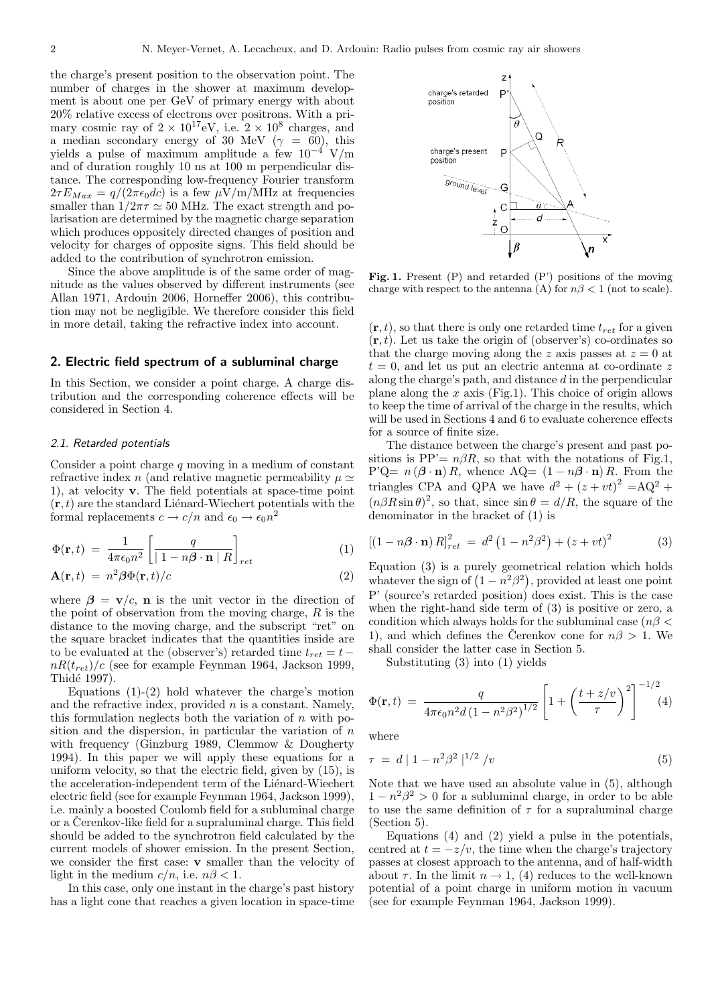the charge's present position to the observation point. The number of charges in the shower at maximum development is about one per GeV of primary energy with about 20% relative excess of electrons over positrons. With a primary cosmic ray of  $2 \times 10^{17}$  eV, i.e.  $2 \times 10^8$  charges, and a median secondary energy of 30 MeV ( $\gamma = 60$ ), this yields a pulse of maximum amplitude a few  $10^{-4}$  V/m and of duration roughly 10 ns at 100 m perpendicular distance. The corresponding low-frequency Fourier transform  $2\tau E_{Max} = q/(2\pi\epsilon_0 dc)$  is a few  $\mu$ V/m/MHz at frequencies smaller than  $1/2\pi\tau \simeq 50$  MHz. The exact strength and polarisation are determined by the magnetic charge separation which produces oppositely directed changes of position and velocity for charges of opposite signs. This field should be added to the contribution of synchrotron emission.

Since the above amplitude is of the same order of magnitude as the values observed by different instruments (see Allan 1971, Ardouin 2006, Horneffer 2006), this contribution may not be negligible. We therefore consider this field in more detail, taking the refractive index into account.

# 2. Electric field spectrum of a subluminal charge

In this Section, we consider a point charge. A charge distribution and the corresponding coherence effects will be considered in Section 4.

#### 2.1. Retarded potentials

Consider a point charge  $q$  moving in a medium of constant refractive index n (and relative magnetic permeability  $\mu \simeq$ 1), at velocity v. The field potentials at space-time point  $(\mathbf{r}, t)$  are the standard Lienard-Wiechert potentials with the formal replacements  $c \to c/n$  and  $\epsilon_0 \to \epsilon_0 n^2$ 

$$
\Phi(\mathbf{r},t) = \frac{1}{4\pi\epsilon_0 n^2} \left[ \frac{q}{|1 - n\beta \cdot \mathbf{n} | R} \right]_{ret}
$$
(1)

$$
\mathbf{A}(\mathbf{r},t) = n^2 \beta \Phi(\mathbf{r},t)/c \tag{2}
$$

where  $\beta = v/c$ , **n** is the unit vector in the direction of the point of observation from the moving charge,  $R$  is the distance to the moving charge, and the subscript "ret" on the square bracket indicates that the quantities inside are to be evaluated at the (observer's) retarded time  $t_{ret} = t$  $nR(t_{ret})/c$  (see for example Feynman 1964, Jackson 1999, Thidé 1997).

Equations  $(1)-(2)$  hold whatever the charge's motion and the refractive index, provided  $n$  is a constant. Namely, this formulation neglects both the variation of  $n$  with position and the dispersion, in particular the variation of  $n$ with frequency (Ginzburg 1989, Clemmow & Dougherty 1994). In this paper we will apply these equations for a uniform velocity, so that the electric field, given by (15), is the acceleration-independent term of the Liénard-Wiechert electric field (see for example Feynman 1964, Jackson 1999), i.e. mainly a boosted Coulomb field for a subluminal charge or a Cerenkov-like field for a supraluminal charge. This field should be added to the synchrotron field calculated by the current models of shower emission. In the present Section, we consider the first case: v smaller than the velocity of light in the medium  $c/n$ , i.e.  $n\beta < 1$ .

In this case, only one instant in the charge's past history has a light cone that reaches a given location in space-time



Fig. 1. Present (P) and retarded (P') positions of the moving charge with respect to the antenna (A) for  $n\beta < 1$  (not to scale).

 $(\mathbf{r}, t)$ , so that there is only one retarded time  $t_{ret}$  for a given  $(\mathbf{r}, t)$ . Let us take the origin of (observer's) co-ordinates so that the charge moving along the z axis passes at  $z = 0$  at  $t = 0$ , and let us put an electric antenna at co-ordinate z along the charge's path, and distance d in the perpendicular plane along the  $x$  axis (Fig.1). This choice of origin allows to keep the time of arrival of the charge in the results, which will be used in Sections 4 and 6 to evaluate coherence effects for a source of finite size.

The distance between the charge's present and past positions is PP'=  $n\beta R$ , so that with the notations of Fig.1, P'Q=  $n(\boldsymbol{\beta} \cdot \mathbf{n}) R$ , whence AQ=  $(1 - n\boldsymbol{\beta} \cdot \mathbf{n}) R$ . From the triangles CPA and QPA we have  $d^2 + (z + vt)^2 = AQ^2 +$  $(n\beta R\sin\theta)^2$ , so that, since  $\sin\theta = d/R$ , the square of the denominator in the bracket of (1) is

$$
[(1 - n\beta \cdot \mathbf{n}) R]_{ret}^2 = d^2 (1 - n^2 \beta^2) + (z + vt)^2
$$
 (3)

Equation  $(3)$  is a purely geometrical relation which holds Equation (3) is a purely geometrical relation which holds<br>whatever the sign of  $(1 - n^2\beta^2)$ , provided at least one point P' (source's retarded position) does exist. This is the case when the right-hand side term of (3) is positive or zero, a condition which always holds for the subluminal case ( $n\beta$ ) 1), and which defines the Cerenkov cone for  $n\beta > 1$ . We shall consider the latter case in Section 5.

Substituting (3) into (1) yields

$$
\Phi(\mathbf{r},t) = \frac{q}{4\pi\epsilon_0 n^2 d \left(1 - n^2 \beta^2\right)^{1/2}} \left[1 + \left(\frac{t + z/v}{\tau}\right)^2\right]^{-1/2} (4)
$$

where

$$
\tau = d | 1 - n^2 \beta^2 |^{1/2} / v
$$
\n(5)

Note that we have used an absolute value in (5), although  $1 - n^2\beta^2 > 0$  for a subluminal charge, in order to be able to use the same definition of  $\tau$  for a supraluminal charge (Section 5).

Equations (4) and (2) yield a pulse in the potentials, centred at  $t = -z/v$ , the time when the charge's trajectory passes at closest approach to the antenna, and of half-width about  $\tau$ . In the limit  $n \to 1$ , (4) reduces to the well-known potential of a point charge in uniform motion in vacuum (see for example Feynman 1964, Jackson 1999).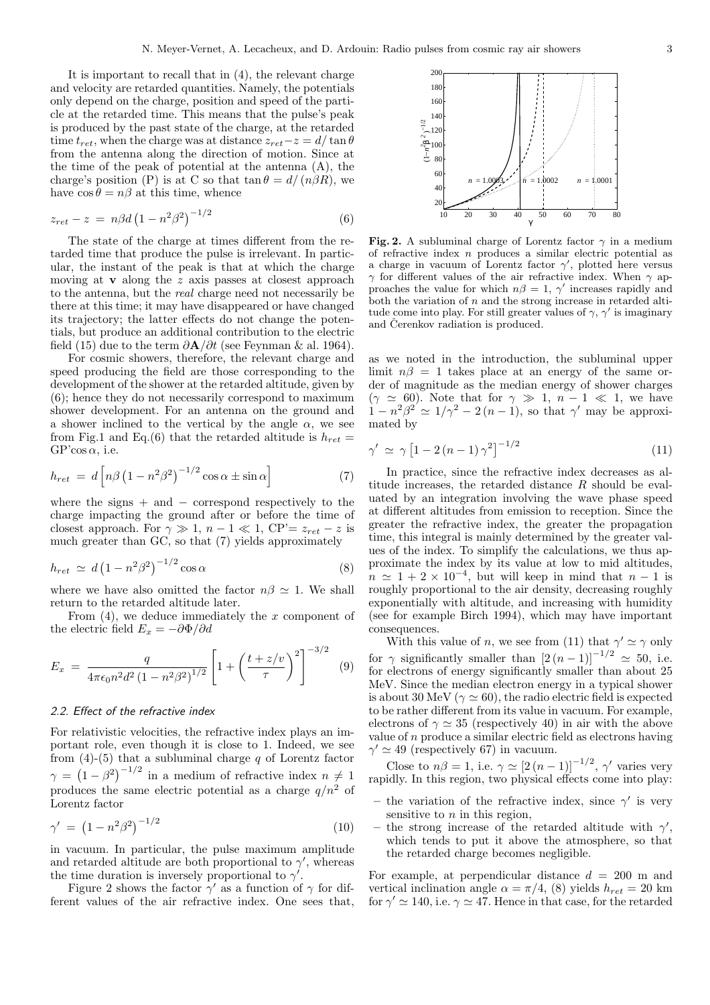It is important to recall that in (4), the relevant charge and velocity are retarded quantities. Namely, the potentials only depend on the charge, position and speed of the particle at the retarded time. This means that the pulse's peak is produced by the past state of the charge, at the retarded time  $t_{ret}$ , when the charge was at distance  $z_{ret}$ − $z$  =  $d/\tan \theta$ from the antenna along the direction of motion. Since at the time of the peak of potential at the antenna (A), the charge's position (P) is at C so that  $\tan \theta = d/(n\beta R)$ , we have  $\cos \theta = n\beta$  at this time, whence

$$
z_{ret} - z = n\beta d \left(1 - n^2 \beta^2\right)^{-1/2} \tag{6}
$$

The state of the charge at times different from the retarded time that produce the pulse is irrelevant. In particular, the instant of the peak is that at which the charge moving at  $\bf{v}$  along the z axis passes at closest approach to the antenna, but the real charge need not necessarily be there at this time; it may have disappeared or have changed its trajectory; the latter effects do not change the potentials, but produce an additional contribution to the electric field (15) due to the term  $\partial \mathbf{A}/\partial t$  (see Feynman & al. 1964).

For cosmic showers, therefore, the relevant charge and speed producing the field are those corresponding to the development of the shower at the retarded altitude, given by (6); hence they do not necessarily correspond to maximum shower development. For an antenna on the ground and a shower inclined to the vertical by the angle  $\alpha$ , we see from Fig.1 and Eq.(6) that the retarded altitude is  $h_{ret}$  =  $GP'cos \alpha$ , i.e.

$$
h_{ret} = d \left[ n \beta \left( 1 - n^2 \beta^2 \right)^{-1/2} \cos \alpha \pm \sin \alpha \right]
$$
 (7)

where the signs  $+$  and  $-$  correspond respectively to the charge impacting the ground after or before the time of closest approach. For  $\gamma \gg 1$ ,  $n-1 \ll 1$ , CP'=  $z_{ret} - z$  is much greater than GC, so that (7) yields approximately

$$
h_{ret} \simeq d \left(1 - n^2 \beta^2\right)^{-1/2} \cos \alpha \tag{8}
$$

where we have also omitted the factor  $n\beta \simeq 1$ . We shall return to the retarded altitude later.

From  $(4)$ , we deduce immediately the x component of the electric field  $E_x = -\partial \Phi / \partial d$ 

$$
E_x = \frac{q}{4\pi\epsilon_0 n^2 d^2 \left(1 - n^2 \beta^2\right)^{1/2}} \left[1 + \left(\frac{t + z/v}{\tau}\right)^2\right]^{-3/2} \tag{9}
$$

# 2.2. Effect of the refractive index

For relativistic velocities, the refractive index plays an important role, even though it is close to 1. Indeed, we see from  $(4)-(5)$  that a subluminal charge q of Lorentz factor  $\gamma =$ ¡  $(1-\beta^2)^{-1/2}$  in a medium of refractive index  $n \neq 1$ produces the same electric potential as a charge  $q/n^2$  of Lorentz factor

$$
\gamma' = (1 - n^2 \beta^2)^{-1/2} \tag{10}
$$

in vacuum. In particular, the pulse maximum amplitude and retarded altitude are both proportional to  $\gamma'$ , whereas the time duration is inversely proportional to  $\gamma'$ .

Figure 2 shows the factor  $\gamma'$  as a function of  $\gamma$  for different values of the air refractive index. One sees that,



Fig. 2. A subluminal charge of Lorentz factor  $\gamma$  in a medium of refractive index  $n$  produces a similar electric potential as a charge in vacuum of Lorentz factor  $\gamma'$ , plotted here versus  $\gamma$  for different values of the air refractive index. When  $\gamma$  approaches the value for which  $n\beta = 1$ ,  $\gamma'$  increases rapidly and both the variation of  $n$  and the strong increase in retarded altitude come into play. For still greater values of  $\gamma$ ,  $\gamma'$  is imaginary and Cerenkov radiation is produced.

as we noted in the introduction, the subluminal upper limit  $n\beta = 1$  takes place at an energy of the same order of magnitude as the median energy of shower charges  $(\gamma \simeq 60)$ . Note that for  $\gamma \gg 1$ ,  $n-1 \ll 1$ , we have  $1 - n^2\beta^2 \simeq 1/\gamma^2 - 2(n-1)$ , so that  $\gamma'$  may be approximated by

$$
\gamma' \simeq \gamma \left[ 1 - 2\left(n - 1\right)\gamma^2 \right]^{-1/2} \tag{11}
$$

In practice, since the refractive index decreases as altitude increases, the retarded distance R should be evaluated by an integration involving the wave phase speed at different altitudes from emission to reception. Since the greater the refractive index, the greater the propagation time, this integral is mainly determined by the greater values of the index. To simplify the calculations, we thus approximate the index by its value at low to mid altitudes,  $n \approx 1 + 2 \times 10^{-4}$ , but will keep in mind that  $n-1$  is roughly proportional to the air density, decreasing roughly exponentially with altitude, and increasing with humidity (see for example Birch 1994), which may have important consequences.

With this value of n, we see from (11) that  $\gamma' \simeq \gamma$  only for  $\gamma$  significantly smaller than  $\left[2 \left(n - 1\right)\right]^{-1/2} \simeq 50$ , i.e. for electrons of energy significantly smaller than about 25 MeV. Since the median electron energy in a typical shower is about 30 MeV ( $\gamma \simeq 60$ ), the radio electric field is expected to be rather different from its value in vacuum. For example, electrons of  $\gamma \simeq 35$  (respectively 40) in air with the above value of  $n$  produce a similar electric field as electrons having  $\gamma' \simeq 49$  (respectively 67) in vacuum.

Close to  $n\beta = 1$ , i.e.  $\gamma \simeq [2(n-1)]^{-1/2}$ ,  $\gamma'$  varies very rapidly. In this region, two physical effects come into play:

- the variation of the refractive index, since  $\gamma'$  is very sensitive to  $n$  in this region,
- the strong increase of the retarded altitude with  $\gamma'$ , which tends to put it above the atmosphere, so that the retarded charge becomes negligible.

For example, at perpendicular distance  $d = 200$  m and vertical inclination angle  $\alpha = \pi/4$ , (8) yields  $h_{ret} = 20$  km for  $\gamma' \simeq 140$ , i.e.  $\gamma \simeq 47$ . Hence in that case, for the retarded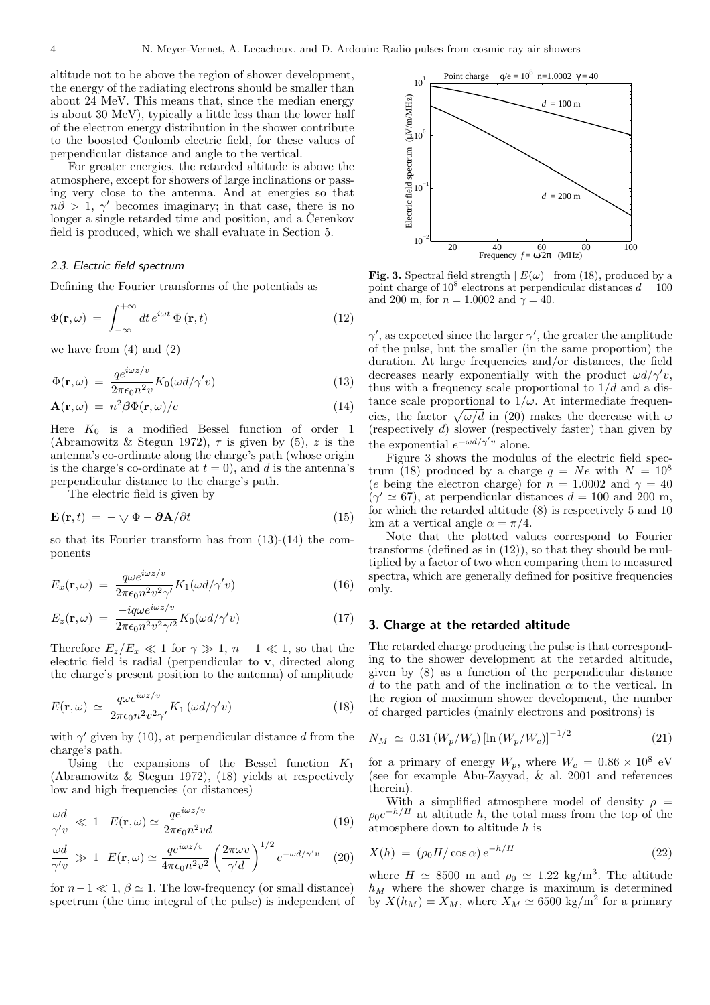altitude not to be above the region of shower development, the energy of the radiating electrons should be smaller than about 24 MeV. This means that, since the median energy is about 30 MeV), typically a little less than the lower half of the electron energy distribution in the shower contribute to the boosted Coulomb electric field, for these values of perpendicular distance and angle to the vertical.

For greater energies, the retarded altitude is above the atmosphere, except for showers of large inclinations or passing very close to the antenna. And at energies so that  $n\tilde{\beta} > 1$ ,  $\gamma'$  becomes imaginary; in that case, there is no longer a single retarded time and position, and a Cerenkov field is produced, which we shall evaluate in Section 5.

#### 2.3. Electric field spectrum

Defining the Fourier transforms of the potentials as

$$
\Phi(\mathbf{r}, \omega) = \int_{-\infty}^{+\infty} dt \, e^{i\omega t} \, \Phi(\mathbf{r}, t) \tag{12}
$$

we have from  $(4)$  and  $(2)$ 

$$
\Phi(\mathbf{r}, \omega) = \frac{q e^{i\omega z/v}}{2\pi \epsilon_0 n^2 v} K_0(\omega d/\gamma' v)
$$
\n(13)

$$
\mathbf{A}(\mathbf{r},\omega) = n^2 \beta \Phi(\mathbf{r},\omega)/c \tag{14}
$$

Here  $K_0$  is a modified Bessel function of order 1 (Abramowitz & Stegun 1972),  $\tau$  is given by (5), z is the antenna's co-ordinate along the charge's path (whose origin is the charge's co-ordinate at  $t = 0$ , and d is the antenna's perpendicular distance to the charge's path.

The electric field is given by

$$
\mathbf{E}\left(\mathbf{r},t\right) = -\nabla\Phi - \partial\mathbf{A}/\partial t\tag{15}
$$

so that its Fourier transform has from (13)-(14) the components

$$
E_x(\mathbf{r}, \omega) = \frac{q\omega e^{i\omega z/v}}{2\pi\epsilon_0 n^2 v^2 \gamma'} K_1(\omega d/\gamma' v)
$$
(16)

$$
E_z(\mathbf{r}, \omega) = \frac{-iq\omega e^{i\omega z/v}}{2\pi\epsilon_0 n^2 v^2 \gamma'^2} K_0(\omega d/\gamma' v)
$$
(17)

Therefore  $E_z/E_x \ll 1$  for  $\gamma \gg 1$ ,  $n-1 \ll 1$ , so that the electric field is radial (perpendicular to v, directed along the charge's present position to the antenna) of amplitude

$$
E(\mathbf{r}, \omega) \simeq \frac{q \omega e^{i \omega z / v}}{2 \pi \epsilon_0 n^2 v^2 \gamma'} K_1(\omega d / \gamma' v)
$$
(18)

with  $\gamma'$  given by (10), at perpendicular distance d from the charge's path.

Using the expansions of the Bessel function  $K_1$ (Abramowitz & Stegun 1972), (18) yields at respectively low and high frequencies (or distances)

$$
\frac{\omega d}{\gamma' v} \ll 1 \quad E(\mathbf{r}, \omega) \simeq \frac{q e^{i\omega z/v}}{2\pi \epsilon_0 n^2 v d} \tag{19}
$$

$$
\frac{\omega d}{\gamma' v} \gg 1 \ E(\mathbf{r}, \omega) \simeq \frac{q e^{i\omega z/v}}{4\pi \epsilon_0 n^2 v^2} \left(\frac{2\pi \omega v}{\gamma' d}\right)^{1/2} e^{-\omega d/\gamma' v} \quad (20)
$$

for  $n-1 \ll 1$ ,  $\beta \simeq 1$ . The low-frequency (or small distance) spectrum (the time integral of the pulse) is independent of



Fig. 3. Spectral field strength  $|E(\omega)|$  from (18), produced by a point charge of 10<sup>8</sup> electrons at perpendicular distances  $d = 100$ and 200 m, for  $n = 1.0002$  and  $\gamma = 40$ .

 $\gamma'$ , as expected since the larger  $\gamma'$ , the greater the amplitude of the pulse, but the smaller (in the same proportion) the duration. At large frequencies and/or distances, the field decreases nearly exponentially with the product  $\omega d/\gamma'v$ , thus with a frequency scale proportional to  $1/d$  and a distance scale proportional to  $1/\omega$ . At intermediate frequentance scale proportional to  $1/\omega$ . At intermediate frequencies, the factor  $\sqrt{\omega/d}$  in (20) makes the decrease with  $\omega$ (respectively d) slower (respectively faster) than given by the exponential  $e^{-\omega d/\gamma' v}$  alone.

Figure 3 shows the modulus of the electric field spectrum (18) produced by a charge  $q = Ne$  with  $N = 10^8$ (e being the electron charge) for  $n = 1.0002$  and  $\gamma = 40$  $(\gamma' \simeq 67)$ , at perpendicular distances  $d = 100$  and 200 m, for which the retarded altitude (8) is respectively 5 and 10 km at a vertical angle  $\alpha = \pi/4$ .

Note that the plotted values correspond to Fourier transforms (defined as in (12)), so that they should be multiplied by a factor of two when comparing them to measured spectra, which are generally defined for positive frequencies only.

# 3. Charge at the retarded altitude

The retarded charge producing the pulse is that corresponding to the shower development at the retarded altitude, given by (8) as a function of the perpendicular distance d to the path and of the inclination  $\alpha$  to the vertical. In the region of maximum shower development, the number of charged particles (mainly electrons and positrons) is

$$
N_M \simeq 0.31 \left( W_p / W_c \right) \left[ \ln \left( W_p / W_c \right) \right]^{-1/2} \tag{21}
$$

for a primary of energy  $W_p$ , where  $W_c = 0.86 \times 10^8$  eV (see for example Abu-Zayyad, & al. 2001 and references therein).

With a simplified atmosphere model of density  $\rho =$  $\rho_0 e^{-h/H}$  at altitude h, the total mass from the top of the atmosphere down to altitude h is

$$
X(h) = (\rho_0 H / \cos \alpha) e^{-h/H} \tag{22}
$$

where  $H \simeq 8500$  m and  $\rho_0 \simeq 1.22$  kg/m<sup>3</sup>. The altitude  $h_M$  where the shower charge is maximum is determined by  $X(h_M) = X_M$ , where  $X_M \simeq 6500 \text{ kg/m}^2$  for a primary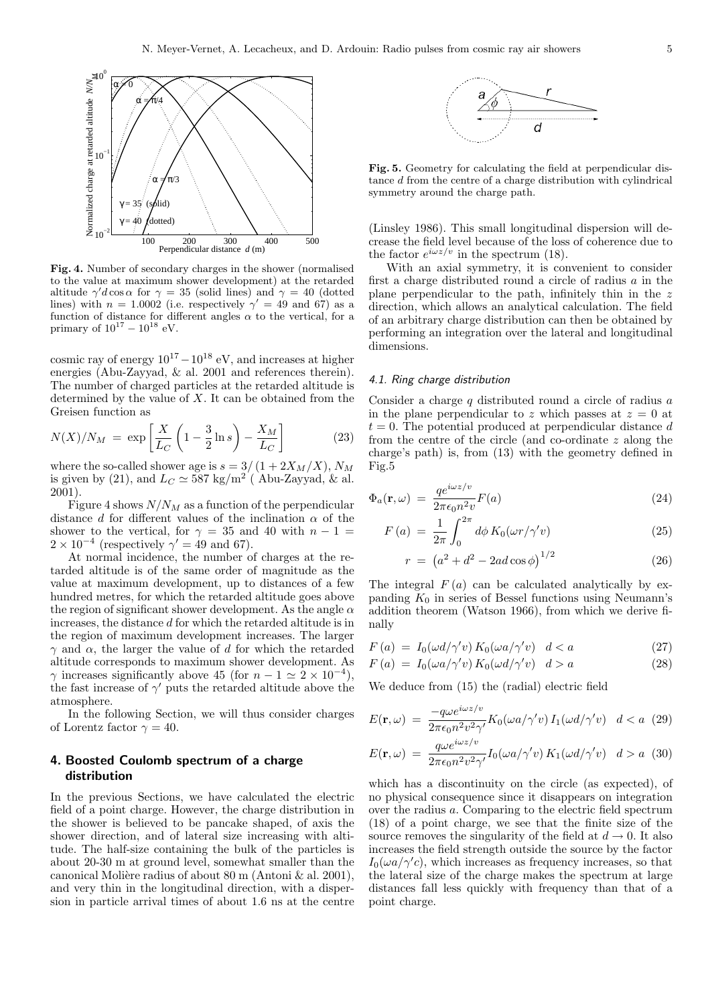

Fig. 4. Number of secondary charges in the shower (normalised to the value at maximum shower development) at the retarded altitude  $\gamma' d \cos \alpha$  for  $\gamma = 35$  (solid lines) and  $\gamma = 40$  (dotted lines) with  $n = 1.0002$  (i.e. respectively  $\gamma' = 49$  and 67) as a function of distance for different angles  $\alpha$  to the vertical, for a primary of  $10^{17} - 10^{18}$  eV.

cosmic ray of energy  $10^{17} - 10^{18}$  eV, and increases at higher energies (Abu-Zayyad, & al. 2001 and references therein). The number of charged particles at the retarded altitude is determined by the value of  $X$ . It can be obtained from the Greisen function as  $\overline{a}$  $\mathbf{r}$  $\overline{a}$ 

$$
N(X)/N_M = \exp\left[\frac{X}{L_C}\left(1 - \frac{3}{2}\ln s\right) - \frac{X_M}{L_C}\right]
$$
 (23)

where the so-called shower age is  $s = 3/(1 + 2X_M/X)$ ,  $N_M$ is given by (21), and  $L_C \simeq 587 \text{ kg/m}^2$  (Abu-Zayyad, & al. 2001).

Figure 4 shows  $N/N_M$  as a function of the perpendicular distance d for different values of the inclination  $\alpha$  of the shower to the vertical, for  $\gamma = 35$  and 40 with  $n - 1 =$  $2 \times 10^{-4}$  (respectively  $\gamma' = 49$  and 67).

At normal incidence, the number of charges at the retarded altitude is of the same order of magnitude as the value at maximum development, up to distances of a few hundred metres, for which the retarded altitude goes above the region of significant shower development. As the angle  $\alpha$ increases, the distance d for which the retarded altitude is in the region of maximum development increases. The larger  $\gamma$  and  $\alpha$ , the larger the value of d for which the retarded altitude corresponds to maximum shower development. As  $\gamma$  increases significantly above 45 (for  $n - 1 \simeq 2 \times 10^{-4}$ ), the fast increase of  $\gamma'$  puts the retarded altitude above the atmosphere.

In the following Section, we will thus consider charges of Lorentz factor  $\gamma = 40$ .

# 4. Boosted Coulomb spectrum of a charge distribution

In the previous Sections, we have calculated the electric field of a point charge. However, the charge distribution in the shower is believed to be pancake shaped, of axis the shower direction, and of lateral size increasing with altitude. The half-size containing the bulk of the particles is about 20-30 m at ground level, somewhat smaller than the canonical Molière radius of about 80 m (Antoni & al. 2001), and very thin in the longitudinal direction, with a dispersion in particle arrival times of about 1.6 ns at the centre



Fig. 5. Geometry for calculating the field at perpendicular distance d from the centre of a charge distribution with cylindrical symmetry around the charge path.

(Linsley 1986). This small longitudinal dispersion will decrease the field level because of the loss of coherence due to the factor  $e^{i\omega z/v}$  in the spectrum (18).

With an axial symmetry, it is convenient to consider first a charge distributed round a circle of radius  $a$  in the plane perpendicular to the path, infinitely thin in the z direction, which allows an analytical calculation. The field of an arbitrary charge distribution can then be obtained by performing an integration over the lateral and longitudinal dimensions.

#### 4.1. Ring charge distribution

Consider a charge q distributed round a circle of radius a in the plane perpendicular to z which passes at  $z = 0$  at  $t = 0$ . The potential produced at perpendicular distance d from the centre of the circle (and  $\overline{\text{co}}$ -ordinate  $z$  along the charge's path) is, from (13) with the geometry defined in Fig.5

$$
\Phi_a(\mathbf{r}, \omega) = \frac{q e^{i\omega z/v}}{2\pi \epsilon_0 n^2 v} F(a)
$$
\n(24)

$$
F(a) = \frac{1}{2\pi} \int_0^{2\pi} d\phi \, K_0(\omega r/\gamma' v) \tag{25}
$$

$$
r = (a^2 + d^2 - 2ad\cos\phi)^{1/2}
$$
 (26)

The integral  $F(a)$  can be calculated analytically by expanding  $K_0$  in series of Bessel functions using Neumann's addition theorem (Watson 1966), from which we derive finally

$$
F(a) = I_0(\omega d/\gamma' v) K_0(\omega a/\gamma' v) \quad d < a \tag{27}
$$

$$
F(a) = I_0(\omega a/\gamma' v) K_0(\omega d/\gamma' v) d > a \qquad (28)
$$

We deduce from (15) the (radial) electric field

$$
E(\mathbf{r}, \omega) = \frac{-q\omega e^{i\omega z/v}}{2\pi \epsilon_0 n^2 v^2 \gamma'} K_0(\omega a/\gamma' v) I_1(\omega d/\gamma' v) \quad d < a \quad (29)
$$

$$
E(\mathbf{r}, \omega) = \frac{q\omega e^{i\omega z/v}}{2\pi \epsilon_0 n^2 v^2} I_0(\omega a/\gamma' v) K_1(\omega d/\gamma' v) \quad d > a \quad (30)
$$

$$
E(\mathbf{r}, \omega) = \frac{q \omega e}{2\pi \epsilon_0 n^2 v^2 \gamma'} I_0(\omega a/\gamma' v) K_1(\omega d/\gamma' v) \quad d > a \tag{30}
$$

which has a discontinuity on the circle (as expected), of no physical consequence since it disappears on integration over the radius a. Comparing to the electric field spectrum (18) of a point charge, we see that the finite size of the source removes the singularity of the field at  $d \rightarrow 0$ . It also increases the field strength outside the source by the factor  $I_0(\omega a/\gamma' c)$ , which increases as frequency increases, so that the lateral size of the charge makes the spectrum at large distances fall less quickly with frequency than that of a point charge.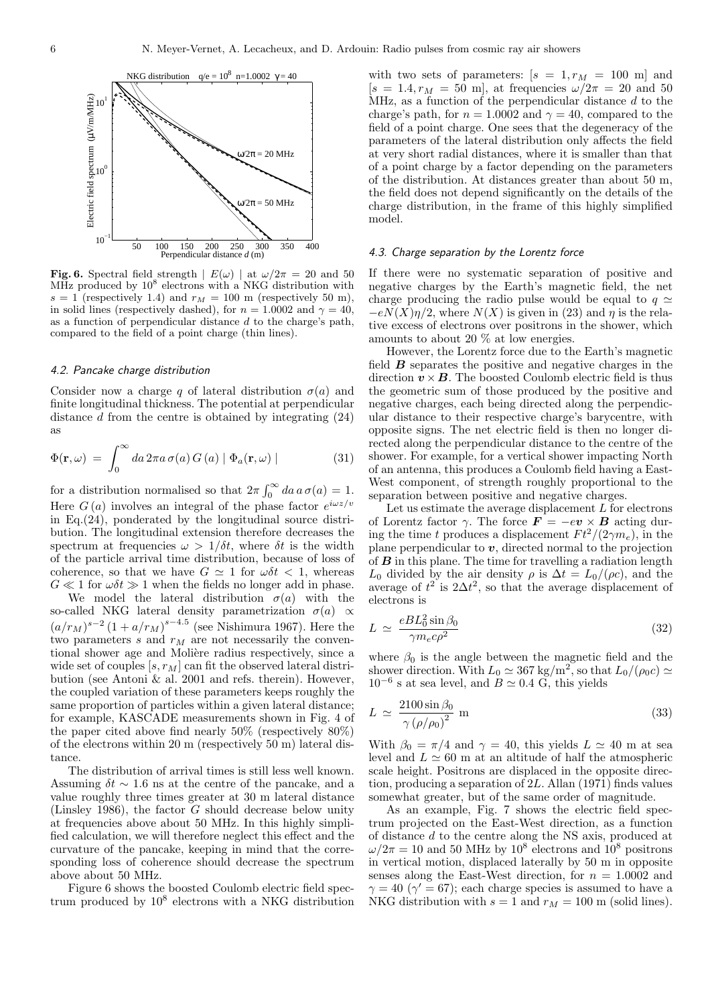

Fig. 6. Spectral field strength  $|E(\omega)|$  at  $\omega/2\pi = 20$  and 50 MHz produced by  $10^8$  electrons with a NKG distribution with  $s = 1$  (respectively 1.4) and  $r_M = 100$  m (respectively 50 m), in solid lines (respectively dashed), for  $n = 1.0002$  and  $\gamma = 40$ , as a function of perpendicular distance d to the charge's path, compared to the field of a point charge (thin lines).

#### 4.2. Pancake charge distribution

Consider now a charge q of lateral distribution  $\sigma(a)$  and finite longitudinal thickness. The potential at perpendicular distance d from the centre is obtained by integrating (24) as

$$
\Phi(\mathbf{r}, \omega) = \int_0^\infty da \, 2\pi a \, \sigma(a) \, G(a) \mid \Phi_a(\mathbf{r}, \omega) \mid \tag{31}
$$

for a distribution normalised so that  $2\pi \int_{0}^{\infty}$  $\int_0^\infty da\, a\, \sigma(a) = 1.$ Here  $G(a)$  involves an integral of the phase factor  $e^{i\omega z/v}$ in Eq.(24), ponderated by the longitudinal source distribution. The longitudinal extension therefore decreases the spectrum at frequencies  $\omega > 1/\delta t$ , where  $\delta t$  is the width of the particle arrival time distribution, because of loss of coherence, so that we have  $G \simeq 1$  for  $\omega \delta t < 1$ , whereas  $G \ll 1$  for  $\omega \delta t \gg 1$  when the fields no longer add in phase.

We model the lateral distribution  $\sigma(a)$  with the so-called NKG lateral density parametrization  $\sigma(a) \propto$  $(a/r_M)^{s-2} (1 + a/r_M)^{s-4.5}$  (see Nishimura 1967). Here the two parameters  $s$  and  $r_M$  are not necessarily the conventional shower age and Molière radius respectively, since a wide set of couples  $[s, r_M]$  can fit the observed lateral distribution (see Antoni & al. 2001 and refs. therein). However, the coupled variation of these parameters keeps roughly the same proportion of particles within a given lateral distance; for example, KASCADE measurements shown in Fig. 4 of the paper cited above find nearly 50% (respectively 80%) of the electrons within 20 m (respectively 50 m) lateral distance.

The distribution of arrival times is still less well known. Assuming  $\delta t \sim 1.6$  ns at the centre of the pancake, and a value roughly three times greater at 30 m lateral distance (Linsley 1986), the factor G should decrease below unity at frequencies above about 50 MHz. In this highly simplified calculation, we will therefore neglect this effect and the curvature of the pancake, keeping in mind that the corresponding loss of coherence should decrease the spectrum above about 50 MHz.

Figure 6 shows the boosted Coulomb electric field spectrum produced by 10<sup>8</sup> electrons with a NKG distribution

with two sets of parameters:  $[s = 1, r_M = 100 \text{ m}]$  and  $[s = 1.4, r_M = 50 \text{ m}]$ , at frequencies  $\omega/2\pi = 20 \text{ and } 50$ MHz, as a function of the perpendicular distance  $d$  to the charge's path, for  $n = 1.0002$  and  $\gamma = 40$ , compared to the field of a point charge. One sees that the degeneracy of the parameters of the lateral distribution only affects the field at very short radial distances, where it is smaller than that of a point charge by a factor depending on the parameters of the distribution. At distances greater than about 50 m, the field does not depend significantly on the details of the charge distribution, in the frame of this highly simplified model.

#### 4.3. Charge separation by the Lorentz force

If there were no systematic separation of positive and negative charges by the Earth's magnetic field, the net charge producing the radio pulse would be equal to  $q \simeq$  $-eN(X)\eta/2$ , where  $N(X)$  is given in (23) and  $\eta$  is the relative excess of electrons over positrons in the shower, which amounts to about 20 % at low energies.

However, the Lorentz force due to the Earth's magnetic field  $\boldsymbol{B}$  separates the positive and negative charges in the direction  $v \times B$ . The boosted Coulomb electric field is thus the geometric sum of those produced by the positive and negative charges, each being directed along the perpendicular distance to their respective charge's barycentre, with opposite signs. The net electric field is then no longer directed along the perpendicular distance to the centre of the shower. For example, for a vertical shower impacting North of an antenna, this produces a Coulomb field having a East-West component, of strength roughly proportional to the separation between positive and negative charges.

Let us estimate the average displacement  $L$  for electrons of Lorentz factor  $\gamma$ . The force  $\mathbf{F} = -e\mathbf{v} \times \mathbf{B}$  acting during the time t produces a displacement  $F t^2/(2\gamma m_e)$ , in the plane perpendicular to  $v$ , directed normal to the projection of  $\bm{B}$  in this plane. The time for travelling a radiation length  $L_0$  divided by the air density  $\rho$  is  $\Delta t = L_0/(\rho c)$ , and the average of  $t^2$  is  $2\Delta t^2$ , so that the average displacement of electrons is

$$
L \simeq \frac{eBL_0^2 \sin \beta_0}{\gamma m_e c \rho^2} \tag{32}
$$

where  $\beta_0$  is the angle between the magnetic field and the shower direction. With  $L_0 \simeq 367 \text{ kg/m}^2$ , so that  $L_0/(\rho_0 c) \simeq$  $10^{-6}$  s at sea level, and  $B \simeq 0.4$  G, this yields

$$
L \simeq \frac{2100 \sin \beta_0}{\gamma \left(\rho/\rho_0\right)^2} \text{ m} \tag{33}
$$

With  $\beta_0 = \pi/4$  and  $\gamma = 40$ , this yields  $L \simeq 40$  m at sea level and  $L \simeq 60$  m at an altitude of half the atmospheric scale height. Positrons are displaced in the opposite direction, producing a separation of 2L. Allan (1971) finds values somewhat greater, but of the same order of magnitude.

As an example, Fig. 7 shows the electric field spectrum projected on the East-West direction, as a function of distance d to the centre along the NS axis, produced at  $\omega/2\pi = 10$  and 50 MHz by  $10^8$  electrons and  $10^8$  positrons in vertical motion, displaced laterally by 50 m in opposite senses along the East-West direction, for  $n = 1.0002$  and  $\gamma = 40 \; (\gamma' = 67)$ ; each charge species is assumed to have a NKG distribution with  $s = 1$  and  $r_M = 100$  m (solid lines).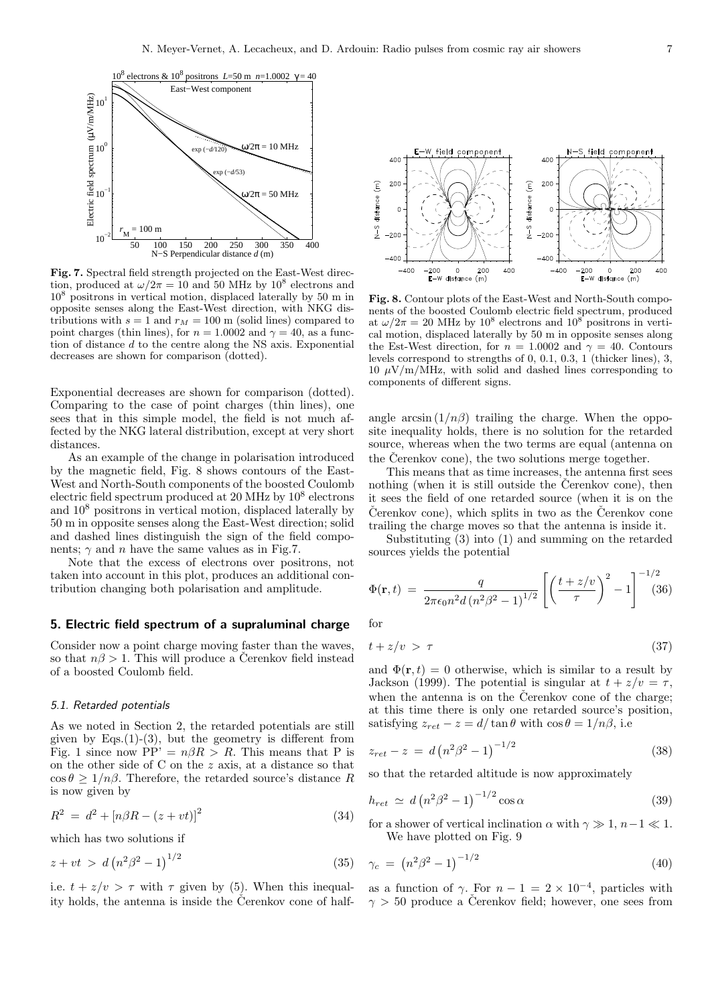

Fig. 7. Spectral field strength projected on the East-West direction, produced at  $\omega/2\pi = 10$  and 50 MHz by  $10^8$  electrons and 10<sup>8</sup> positrons in vertical motion, displaced laterally by 50 m in opposite senses along the East-West direction, with NKG distributions with  $s = 1$  and  $r_M = 100$  m (solid lines) compared to point charges (thin lines), for  $n = 1.0002$  and  $\gamma = 40$ , as a function of distance d to the centre along the NS axis. Exponential decreases are shown for comparison (dotted).

Exponential decreases are shown for comparison (dotted). Comparing to the case of point charges (thin lines), one sees that in this simple model, the field is not much affected by the NKG lateral distribution, except at very short distances.

As an example of the change in polarisation introduced by the magnetic field, Fig. 8 shows contours of the East-West and North-South components of the boosted Coulomb electric field spectrum produced at 20 MHz by  $10^8$  electrons and 10<sup>8</sup> positrons in vertical motion, displaced laterally by 50 m in opposite senses along the East-West direction; solid and dashed lines distinguish the sign of the field components;  $\gamma$  and n have the same values as in Fig.7.

Note that the excess of electrons over positrons, not taken into account in this plot, produces an additional contribution changing both polarisation and amplitude.

# 5. Electric field spectrum of a supraluminal charge

Consider now a point charge moving faster than the waves, so that  $n\beta > 1$ . This will produce a Čerenkov field instead of a boosted Coulomb field.

#### 5.1. Retarded potentials

As we noted in Section 2, the retarded potentials are still given by Eqs. $(1)-(3)$ , but the geometry is different from Fig. 1 since now PP' =  $n\beta R > R$ . This means that P is on the other side of C on the z axis, at a distance so that  $\cos \theta \geq 1/n\beta$ . Therefore, the retarded source's distance R is now given by

$$
R^2 = d^2 + [n\beta R - (z + vt)]^2
$$
\n(34)

which has two solutions if

$$
z + vt > d \left( n^2 \beta^2 - 1 \right)^{1/2} \tag{35}
$$

i.e.  $t + z/v > \tau$  with  $\tau$  given by (5). When this inequality holds, the antenna is inside the Čerenkov cone of half-

field component -S field component 400  $A \cap \Omega$ 200 200 distance (m) distance (m)  $\epsilon$  $\sqrt{2}$  $\frac{5}{2}$  $\frac{5}{1}$  $-200$  $-200$  $-400$  $-400$  $-200$ <br>E-W -200<br>E-W  $-400$  $\circ$ 200 400  $-400$  $\mathbf{o}$  $200$ 400 distance  $(m)$ distance  $(m)$ 

Fig. 8. Contour plots of the East-West and North-South components of the boosted Coulomb electric field spectrum, produced at  $\omega/2\pi = 20$  MHz by  $10^8$  electrons and  $10^{8}$  positrons in vertical motion, displaced laterally by 50 m in opposite senses along the Est-West direction, for  $n = 1.0002$  and  $\gamma = 40$ . Contours levels correspond to strengths of  $0, 0.1, 0.3, 1$  (thicker lines), 3, 10  $\mu$ V/m/MHz, with solid and dashed lines corresponding to components of different signs.

angle arcsin  $(1/n\beta)$  trailing the charge. When the opposite inequality holds, there is no solution for the retarded source, whereas when the two terms are equal (antenna on the Čerenkov cone), the two solutions merge together.

This means that as time increases, the antenna first sees nothing (when it is still outside the Cerenkov cone), then it sees the field of one retarded source (when it is on the Čerenkov cone), which splits in two as the Čerenkov cone trailing the charge moves so that the antenna is inside it.

Substituting (3) into (1) and summing on the retarded sources yields the potential

$$
\Phi(\mathbf{r},t) = \frac{q}{2\pi\epsilon_0 n^2 d (n^2 \beta^2 - 1)^{1/2}} \left[ \left( \frac{t + z/v}{\tau} \right)^2 - 1 \right]^{-1/2} (36)
$$

for

$$
t + z/v > \tau \tag{37}
$$

and  $\Phi(\mathbf{r}, t) = 0$  otherwise, which is similar to a result by Jackson (1999). The potential is singular at  $t + z/v = \tau$ , when the antenna is on the Čerenkov cone of the charge; at this time there is only one retarded source's position, satisfying  $z_{ret} - z = d/\tan\theta$  with  $\cos\theta = 1/n\beta$ , i.e

$$
z_{ret} - z = d \left( n^2 \beta^2 - 1 \right)^{-1/2} \tag{38}
$$

so that the retarded altitude is now approximately

$$
h_{ret} \simeq d \left( n^2 \beta^2 - 1 \right)^{-1/2} \cos \alpha \tag{39}
$$

for a shower of vertical inclination  $\alpha$  with  $\gamma \gg 1$ ,  $n-1 \ll 1$ . We have plotted on Fig. 9

$$
\gamma_c = (n^2 \beta^2 - 1)^{-1/2} \tag{40}
$$

as a function of  $\gamma$ . For  $n-1 = 2 \times 10^{-4}$ , particles with  $\gamma > 50$  produce a Čerenkov field; however, one sees from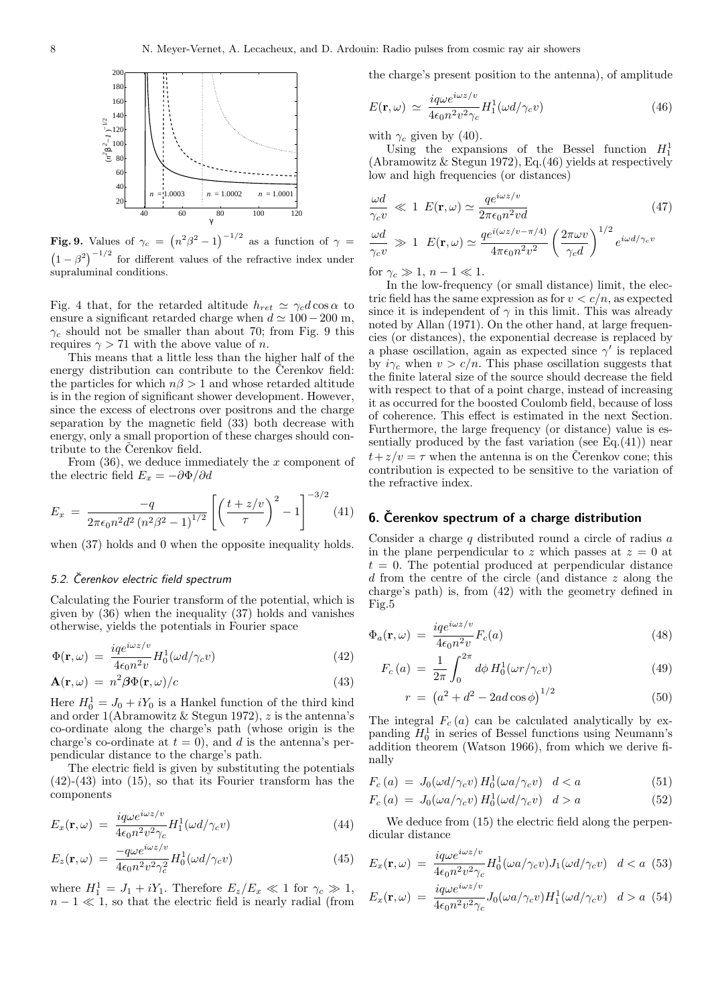

Fig. 9. Values of  $\gamma_c =$ as a function of  $\gamma =$  $(1 - \beta^2)^{-1/2}$  for different values of the refractive index under supraluminal conditions.

Fig. 4 that, for the retarded altitude  $h_{ret} \simeq \gamma_c d \cos \alpha$  to ensure a significant retarded charge when  $d \simeq 100-200$  m,  $\gamma_c$  should not be smaller than about 70; from Fig. 9 this requires  $\gamma > 71$  with the above value of *n*.

This means that a little less than the higher half of the energy distribution can contribute to the Cerenkov field: the particles for which  $n\beta > 1$  and whose retarded altitude is in the region of significant shower development. However, since the excess of electrons over positrons and the charge separation by the magnetic field (33) both decrease with energy, only a small proportion of these charges should contribute to the Čerenkov field.

From  $(36)$ , we deduce immediately the x component of the electric field  $E_x = -\partial \Phi / \partial d$ 

$$
E_x = \frac{-q}{2\pi\epsilon_0 n^2 d^2 (n^2 \beta^2 - 1)^{1/2}} \left[ \left( \frac{t + z/v}{\tau} \right)^2 - 1 \right]^{-3/2} (41)
$$

when  $(37)$  holds and 0 when the opposite inequality holds.

# 5.2. Čerenkov electric field spectrum

Calculating the Fourier transform of the potential, which is given by (36) when the inequality (37) holds and vanishes otherwise, yields the potentials in Fourier space

$$
\Phi(\mathbf{r}, \omega) = \frac{iq e^{i\omega z/v}}{4\epsilon_0 n^2 v} H_0^1(\omega d/\gamma_c v)
$$
\n(42)

$$
\mathbf{A}(\mathbf{r},\omega) = n^2 \beta \Phi(\mathbf{r},\omega)/c \tag{43}
$$

Here  $H_0^1 = J_0 + iY_0$  is a Hankel function of the third kind and order 1(Abramowitz & Stegun 1972),  $z$  is the antenna's co-ordinate along the charge's path (whose origin is the charge's co-ordinate at  $t = 0$ , and d is the antenna's perpendicular distance to the charge's path.

The electric field is given by substituting the potentials  $(42)-(43)$  into  $(15)$ , so that its Fourier transform has the components

$$
E_x(\mathbf{r}, \omega) = \frac{i q \omega e^{i \omega z / v}}{4 \epsilon_0 n^2 v^2 \gamma_c} H_1^1(\omega d / \gamma_c v) \tag{44}
$$

$$
E_z(\mathbf{r}, \omega) = \frac{-q\omega e^{i\omega z/v}}{4\epsilon_0 n^2 v^2 \gamma_c^2} H_0^1(\omega d/\gamma_c v)
$$
(45)

where  $H_1^1 = J_1 + iY_1$ . Therefore  $E_z/E_x \ll 1$  for  $\gamma_c \gg 1$ ,  $n-1 \ll 1$ , so that the electric field is nearly radial (from the charge's present position to the antenna), of amplitude

$$
E(\mathbf{r}, \omega) \simeq \frac{i q \omega e^{i \omega z / v}}{4 \epsilon_0 n^2 v^2 \gamma_c} H_1^1(\omega d / \gamma_c v) \tag{46}
$$

with  $\gamma_c$  given by (40).

Using the expansions of the Bessel function  $H_1^1$ (Abramowitz & Stegun 1972), Eq.(46) yields at respectively low and high frequencies (or distances)

$$
\frac{\omega d}{\gamma_c v} \ll 1 \ E(\mathbf{r}, \omega) \simeq \frac{q e^{i\omega z/v}}{2\pi \epsilon_0 n^2 v d} \tag{47}
$$
\n
$$
\frac{\omega d}{\gamma_c v} \gg 1 \ E(\mathbf{r}, \omega) \simeq \frac{q e^{i(\omega z/v - \pi/4)}}{4\pi \epsilon_0 n^2 v^2} \left(\frac{2\pi \omega v}{\gamma_c d}\right)^{1/2} e^{i\omega d/\gamma_c v}
$$

for  $\gamma_c \gg 1$ ,  $n - 1 \ll 1$ .

In the low-frequency (or small distance) limit, the electric field has the same expression as for  $v < c/n$ , as expected since it is independent of  $\gamma$  in this limit. This was already noted by Allan (1971). On the other hand, at large frequencies (or distances), the exponential decrease is replaced by a phase oscillation, again as expected since  $\gamma'$  is replaced by  $i\gamma_c$  when  $v > c/n$ . This phase oscillation suggests that the finite lateral size of the source should decrease the field with respect to that of a point charge, instead of increasing it as occurred for the boosted Coulomb field, because of loss of coherence. This effect is estimated in the next Section. Furthermore, the large frequency (or distance) value is essentially produced by the fast variation (see  $\hat{E}_0$ . (41)) near  $t+z/v = \tau$  when the antenna is on the Cerenkov cone; this contribution is expected to be sensitive to the variation of the refractive index.

# $6.$  Čerenkov spectrum of a charge distribution

Consider a charge q distributed round a circle of radius a in the plane perpendicular to z which passes at  $z = 0$  at  $t = 0$ . The potential produced at perpendicular distance d from the centre of the circle (and distance z along the charge's path) is, from (42) with the geometry defined in Fig.5

$$
\Phi_a(\mathbf{r}, \omega) = \frac{iq e^{i\omega z/v}}{4\epsilon_0 n^2 v} F_c(a)
$$
\n(48)

$$
F_c(a) = \frac{1}{2\pi} \int_0^{2\pi} d\phi \, H_0^1(\omega r/\gamma_c v) \tag{49}
$$

$$
r = (a^2 + d^2 - 2ad\cos\phi)^{1/2}
$$
 (50)

The integral  $F_c(a)$  can be calculated analytically by expanding  $H_0^1$  in series of Bessel functions using Neumann's addition theorem (Watson 1966), from which we derive finally

$$
F_c(a) = J_0(\omega d/\gamma_c v) H_0^1(\omega a/\gamma_c v) d < a \tag{51}
$$

$$
F_c(a) = J_0(\omega a/\gamma_c v) H_0^1(\omega d/\gamma_c v) \quad d > a \tag{52}
$$

We deduce from  $(15)$  the electric field along the perpendicular distance

$$
E_x(\mathbf{r}, \omega) = \frac{i q \omega e^{i \omega z/v}}{4\epsilon_0 n^2 v^2 \gamma_c} H_0^1(\omega a/\gamma_c v) J_1(\omega d/\gamma_c v) \quad d < a \tag{53}
$$

$$
E_x(\mathbf{r}, \omega) = \frac{i q \omega e^{i \omega z / v}}{4 \epsilon_0 n^2 v^2 \gamma_c} J_0(\omega a / \gamma_c v) H_1^1(\omega d / \gamma_c v) \quad d > a \tag{54}
$$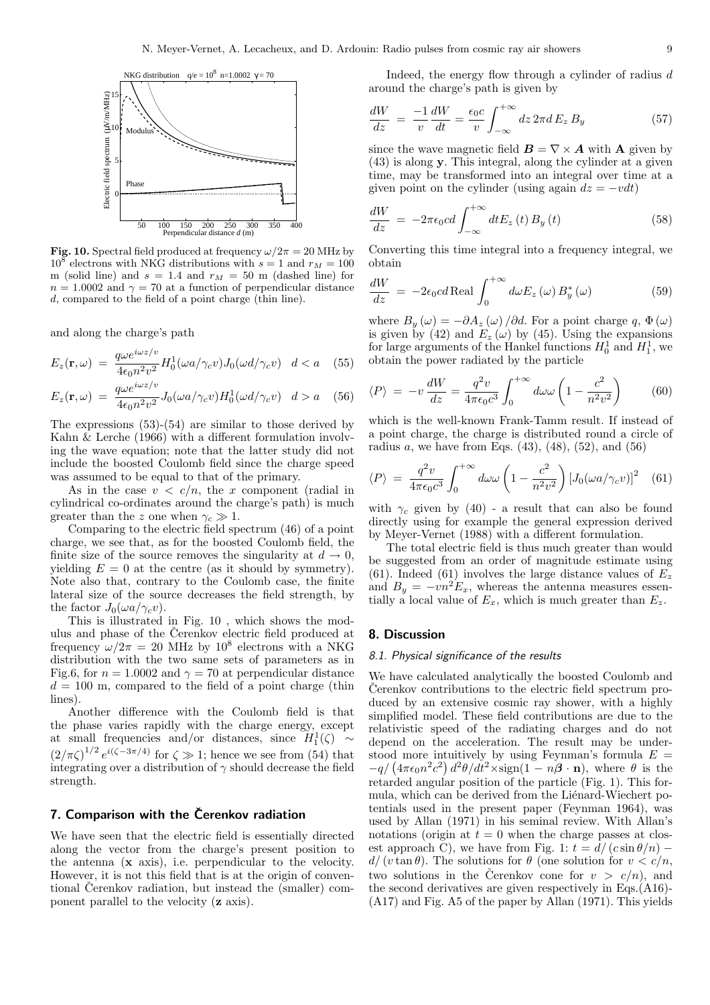

Fig. 10. Spectral field produced at frequency  $\omega/2\pi = 20$  MHz by  $10^8$  electrons with NKG distributions with  $s = 1$  and  $r_M = 100$ m (solid line) and  $s = 1.4$  and  $r_M = 50$  m (dashed line) for  $n = 1.0002$  and  $\gamma = 70$  at a function of perpendicular distance d, compared to the field of a point charge (thin line).

and along the charge's path

$$
E_z(\mathbf{r}, \omega) = \frac{q \omega e^{i\omega z/v}}{4\epsilon_0 n^2 v^2} H_0^1(\omega a/\gamma_c v) J_0(\omega d/\gamma_c v) \ d < a \quad (55)
$$

$$
E_z(\mathbf{r}, \omega) = \frac{q \omega e^{i\omega z/v}}{4\epsilon_0 n^2 v^2} J_0(\omega a/\gamma_c v) H_0^1(\omega d/\gamma_c v) \quad d > a \quad (56)
$$

The expressions (53)-(54) are similar to those derived by Kahn & Lerche (1966) with a different formulation involving the wave equation; note that the latter study did not include the boosted Coulomb field since the charge speed was assumed to be equal to that of the primary.

As in the case  $v < c/n$ , the x component (radial in cylindrical co-ordinates around the charge's path) is much greater than the z one when  $\gamma_c \gg 1$ .

Comparing to the electric field spectrum (46) of a point charge, we see that, as for the boosted Coulomb field, the finite size of the source removes the singularity at  $d \to 0$ , yielding  $E = 0$  at the centre (as it should by symmetry). Note also that, contrary to the Coulomb case, the finite lateral size of the source decreases the field strength, by the factor  $J_0(\omega a/\gamma_c v)$ .

This is illustrated in Fig. 10 , which shows the modulus and phase of the Čerenkov electric field produced at frequency  $\omega/2\pi = 20$  MHz by  $10^8$  electrons with a NKG distribution with the two same sets of parameters as in Fig.6, for  $n = 1.0002$  and  $\gamma = 70$  at perpendicular distance  $d = 100$  m, compared to the field of a point charge (thin lines).

Another difference with the Coulomb field is that the phase varies rapidly with the charge energy, except at small frequencies and/or distances, since  $H_1^1(\zeta) \sim$  $(2/\pi\zeta)^{1/2}e^{i(\zeta-3\pi/4)}$  for  $\zeta \gg 1$ ; hence we see from (54) that integrating over a distribution of  $\gamma$  should decrease the field strength.

# 7. Comparison with the Čerenkov radiation

We have seen that the electric field is essentially directed along the vector from the charge's present position to the antenna (x axis), i.e. perpendicular to the velocity. However, it is not this field that is at the origin of conventional Čerenkov radiation, but instead the (smaller) component parallel to the velocity (z axis).

Indeed, the energy flow through a cylinder of radius d around the charge's path is given by

$$
\frac{dW}{dz} = -\frac{1}{v}\frac{dW}{dt} = \frac{\epsilon_0 c}{v} \int_{-\infty}^{+\infty} dz \, 2\pi d \, E_z \, B_y \tag{57}
$$

since the wave magnetic field  $\mathbf{B} = \nabla \times \mathbf{A}$  with **A** given by (43) is along y. This integral, along the cylinder at a given time, may be transformed into an integral over time at a given point on the cylinder (using again  $dz = -vdt$ )

$$
\frac{dW}{dz} = -2\pi\epsilon_0 c d \int_{-\infty}^{+\infty} dt E_z(t) B_y(t)
$$
\n(58)

Converting this time integral into a frequency integral, we obtain

$$
\frac{dW}{dz} = -2\epsilon_0 c d \operatorname{Real} \int_0^{+\infty} d\omega E_z(\omega) B_y^*(\omega)
$$
 (59)

where  $B_y(\omega) = -\partial A_z(\omega) / \partial d$ . For a point charge q,  $\Phi(\omega)$ is given by (42) and  $E_z(\omega)$  by (45). Using the expansions for large arguments of the Hankel functions  $H_0^1$  and  $H_1^1$ , we obtain the power radiated by the particle

$$
\langle P \rangle = -v \frac{dW}{dz} = \frac{q^2 v}{4\pi \epsilon_0 c^3} \int_0^{+\infty} d\omega \omega \left( 1 - \frac{c^2}{n^2 v^2} \right) \tag{60}
$$

which is the well-known Frank-Tamm result. If instead of a point charge, the charge is distributed round a circle of radius a, we have from Eqs.  $(43)$ ,  $(48)$ ,  $(52)$ , and  $(56)$ 

$$
\langle P \rangle = \frac{q^2 v}{4\pi \epsilon_0 c^3} \int_0^{+\infty} d\omega \omega \left(1 - \frac{c^2}{n^2 v^2}\right) \left[J_0(\omega a/\gamma_c v)\right]^2 \quad (61)
$$

with  $\gamma_c$  given by (40) - a result that can also be found directly using for example the general expression derived by Meyer-Vernet (1988) with a different formulation.

The total electric field is thus much greater than would be suggested from an order of magnitude estimate using (61). Indeed (61) involves the large distance values of  $E_z$ and  $B_y = -v n^2 E_x$ , whereas the antenna measures essentially a local value of  $E_x$ , which is much greater than  $E_z$ .

# 8. Discussion

#### 8.1. Physical significance of the results

We have calculated analytically the boosted Coulomb and Cerenkov contributions to the electric field spectrum produced by an extensive cosmic ray shower, with a highly simplified model. These field contributions are due to the relativistic speed of the radiating charges and do not depend on the acceleration. The result may be understood more intuitively by using Feynman's formula  $E =$ stood more intuitively by using Feynman's formula  $E = -q/(4\pi\epsilon_0 n^2 c^2) d^2\theta/dt^2 \times \text{sign}(1 - n\beta \cdot \mathbf{n}),$  where  $\theta$  is the retarded angular position of the particle (Fig. 1). This formula, which can be derived from the Liénard-Wiechert potentials used in the present paper (Feynman 1964), was used by Allan (1971) in his seminal review. With Allan's notations (origin at  $t = 0$  when the charge passes at closest approach C), we have from Fig. 1:  $t = d/(c \sin \theta/n)$  –  $d/(v \tan \theta)$ . The solutions for  $\theta$  (one solution for  $v < c/n$ , two solutions in the Čerenkov cone for  $v > c/n$ , and the second derivatives are given respectively in Eqs.(A16)- (A17) and Fig. A5 of the paper by Allan (1971). This yields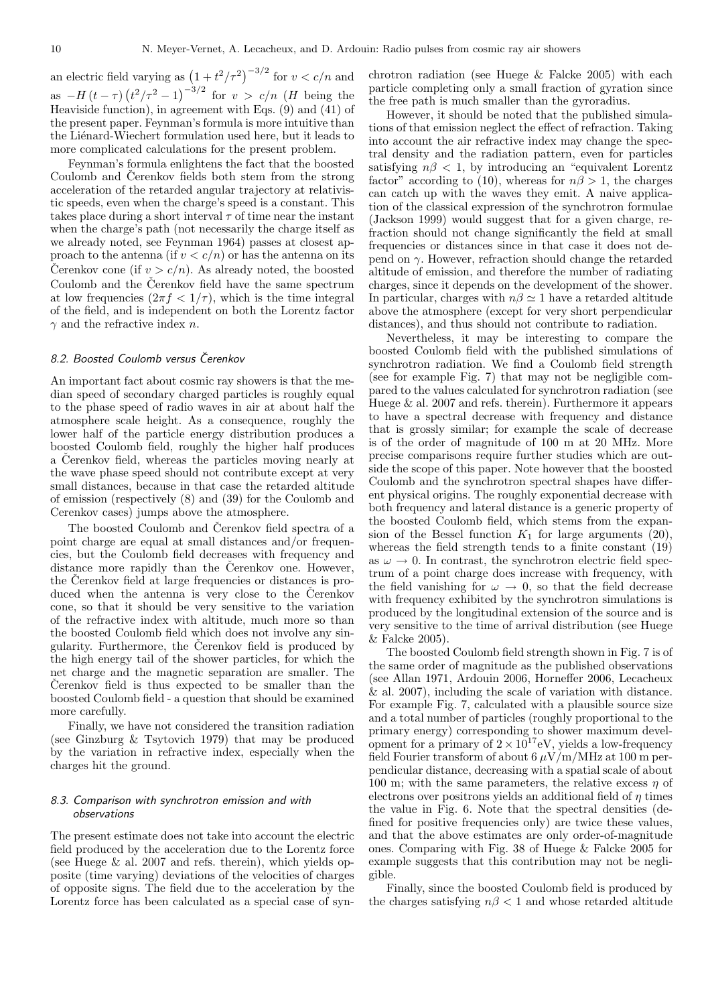an electric field varying as  $(1 + t^2/\tau^2)^{-3/2}$  for  $v < c/n$  and as  $-H(t-\tau)$ ¡  $t^2/\tau^2 - 1^{-3/2}$  for  $v > c/n$  (*H* being the Heaviside function), in agreement with Eqs. (9) and (41) of the present paper. Feynman's formula is more intuitive than the Liénard-Wiechert formulation used here, but it leads to more complicated calculations for the present problem.

Feynman's formula enlightens the fact that the boosted Coulomb and Čerenkov fields both stem from the strong acceleration of the retarded angular trajectory at relativistic speeds, even when the charge's speed is a constant. This takes place during a short interval  $\tau$  of time near the instant when the charge's path (not necessarily the charge itself as we already noted, see Feynman 1964) passes at closest approach to the antenna (if  $v < c/n$ ) or has the antenna on its Cerenkov cone (if  $v > c/n$ ). As already noted, the boosted Coulomb and the Cerenkov field have the same spectrum at low frequencies  $(2\pi f < 1/\tau)$ , which is the time integral of the field, and is independent on both the Lorentz factor  $\gamma$  and the refractive index *n*.

# 8.2. Boosted Coulomb versus Čerenkov

An important fact about cosmic ray showers is that the median speed of secondary charged particles is roughly equal to the phase speed of radio waves in air at about half the atmosphere scale height. As a consequence, roughly the lower half of the particle energy distribution produces a boosted Coulomb field, roughly the higher half produces a Čerenkov field, whereas the particles moving nearly at the wave phase speed should not contribute except at very small distances, because in that case the retarded altitude of emission (respectively (8) and (39) for the Coulomb and Cerenkov cases) jumps above the atmosphere.

The boosted Coulomb and Čerenkov field spectra of a point charge are equal at small distances and/or frequencies, but the Coulomb field decreases with frequency and distance more rapidly than the Čerenkov one. However, the Čerenkov field at large frequencies or distances is produced when the antenna is very close to the Čerenkov cone, so that it should be very sensitive to the variation of the refractive index with altitude, much more so than the boosted Coulomb field which does not involve any singularity. Furthermore, the Čerenkov field is produced by the high energy tail of the shower particles, for which the net charge and the magnetic separation are smaller. The Cerenkov field is thus expected to be smaller than the boosted Coulomb field - a question that should be examined more carefully.

Finally, we have not considered the transition radiation (see Ginzburg & Tsytovich 1979) that may be produced by the variation in refractive index, especially when the charges hit the ground.

# 8.3. Comparison with synchrotron emission and with observations

The present estimate does not take into account the electric field produced by the acceleration due to the Lorentz force (see Huege & al. 2007 and refs. therein), which yields opposite (time varying) deviations of the velocities of charges of opposite signs. The field due to the acceleration by the Lorentz force has been calculated as a special case of synchrotron radiation (see Huege & Falcke 2005) with each particle completing only a small fraction of gyration since the free path is much smaller than the gyroradius.

However, it should be noted that the published simulations of that emission neglect the effect of refraction. Taking into account the air refractive index may change the spectral density and the radiation pattern, even for particles satisfying  $n\beta < 1$ , by introducing an "equivalent Lorentz factor" according to (10), whereas for  $n\beta > 1$ , the charges can catch up with the waves they emit. A naive application of the classical expression of the synchrotron formulae (Jackson 1999) would suggest that for a given charge, refraction should not change significantly the field at small frequencies or distances since in that case it does not depend on  $\gamma$ . However, refraction should change the retarded altitude of emission, and therefore the number of radiating charges, since it depends on the development of the shower. In particular, charges with  $n\beta \simeq 1$  have a retarded altitude above the atmosphere (except for very short perpendicular distances), and thus should not contribute to radiation.

Nevertheless, it may be interesting to compare the boosted Coulomb field with the published simulations of synchrotron radiation. We find a Coulomb field strength (see for example Fig. 7) that may not be negligible compared to the values calculated for synchrotron radiation (see Huege & al. 2007 and refs. therein). Furthermore it appears to have a spectral decrease with frequency and distance that is grossly similar; for example the scale of decrease is of the order of magnitude of 100 m at 20 MHz. More precise comparisons require further studies which are outside the scope of this paper. Note however that the boosted Coulomb and the synchrotron spectral shapes have different physical origins. The roughly exponential decrease with both frequency and lateral distance is a generic property of the boosted Coulomb field, which stems from the expansion of the Bessel function  $K_1$  for large arguments (20), whereas the field strength tends to a finite constant (19) as  $\omega \to 0$ . In contrast, the synchrotron electric field spectrum of a point charge does increase with frequency, with the field vanishing for  $\omega \to 0$ , so that the field decrease with frequency exhibited by the synchrotron simulations is produced by the longitudinal extension of the source and is very sensitive to the time of arrival distribution (see Huege & Falcke 2005).

The boosted Coulomb field strength shown in Fig. 7 is of the same order of magnitude as the published observations (see Allan 1971, Ardouin 2006, Horneffer 2006, Lecacheux & al. 2007), including the scale of variation with distance. For example Fig. 7, calculated with a plausible source size and a total number of particles (roughly proportional to the primary energy) corresponding to shower maximum development for a primary of  $2 \times 10^{17}$ eV, yields a low-frequency field Fourier transform of about  $6 \,\mathrm{\mu V}/\mathrm{m}/\mathrm{MHz}$  at 100 m perpendicular distance, decreasing with a spatial scale of about 100 m; with the same parameters, the relative excess  $\eta$  of electrons over positrons yields an additional field of  $\eta$  times the value in Fig. 6. Note that the spectral densities (defined for positive frequencies only) are twice these values, and that the above estimates are only order-of-magnitude ones. Comparing with Fig. 38 of Huege & Falcke 2005 for example suggests that this contribution may not be negligible.

Finally, since the boosted Coulomb field is produced by the charges satisfying  $n\beta < 1$  and whose retarded altitude